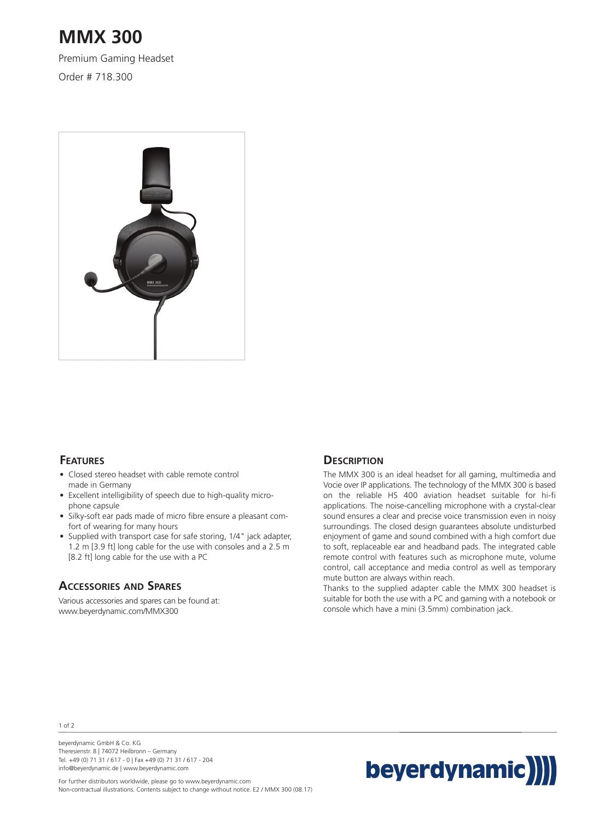# **MMX 300**

Premium Gaming Headset

Order # 718.300



## **FEATURES**

- Closed stereo headset with cable remote control made in Germany
- Excellent intelligibility of speech due to high-quality microphone capsule
- Silky-soft ear pads made of micro fibre ensure a pleasant comfort of wearing for many hours
- Supplied with transport case for safe storing, 1/4" jack adapter, 1.2 m [3.9 ft] long cable for the use with consoles and a 2.5 m [8.2 ft] long cable for the use with a PC

### **ACCESSORIES AND SPARES**

Various accessories and spares can be found at: www.beyerdynamic.com/MMX300

## **DESCRIPTION**

The MMX 300 is an ideal headset for all gaming, multimedia and Vocie over IP applications. The technology of the MMX 300 is based on the reliable HS 400 aviation headset suitable for hi-fi applications. The noise-cancelling microphone with a crystal-clear sound ensures a clear and precise voice transmission even in noisy surroundings. The closed design guarantees absolute undisturbed enjoyment of game and sound combined with a high comfort due to soft, replaceable ear and headband pads. The integrated cable remote control with features such as microphone mute, volume control, call acceptance and media control as well as temporary mute button are always within reach.

Thanks to the supplied adapter cable the MMX 300 headset is suitable for both the use with a PC and gaming with a notebook or console which have a mini (3.5mm) combination jack.

1 of 2

beyerdynamic GmbH & Co. KG Theresienstr. 8 | 74072 Heilbronn – Germany Tel. +49 (0) 71 31 / 617 - 0 | Fax +49 (0) 71 31 / 617 - 204 info@beyerdynamic.de | www.beyerdynamic.com



For further distributors worldwide, please go to www.beyerdynamic.com Non-contractual illustrations. Contents subject to change without notice. E2 / MMX 300 (08.17)